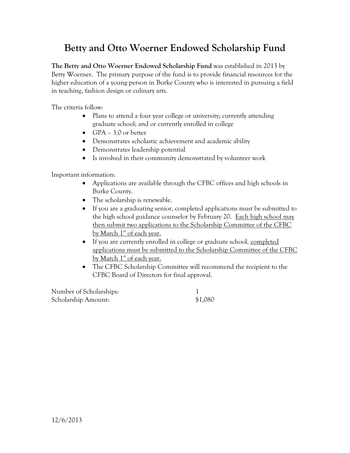# **Betty and Otto Woerner Endowed Scholarship Fund**

**The Betty and Otto Woerner Endowed Scholarship Fund** was established in 2013 by Betty Woerner. The primary purpose of the fund is to provide financial resources for the higher education of a young person in Burke County who is interested in pursuing a field in teaching, fashion design or culinary arts.

The criteria follow:

- Plans to attend a four year college or university; currently attending graduate school; and or currently enrolled in college
- GPA 3.0 or better
- Demonstrates scholastic achievement and academic ability
- Demonstrates leadership potential
- Is involved in their community demonstrated by volunteer work

Important information:

- Applications are available through the CFBC offices and high schools in Burke County.
- The scholarship is renewable.
- If you are a graduating senior, completed applications must be submitted to the high school guidance counselor by February 20. Each high school may then submit two applications to the Scholarship Committee of the CFBC by March 1<sup>st</sup> of each year.
- If you are currently enrolled in college or graduate school, completed applications must be submitted to the Scholarship Committee of the CFBC by March 1<sup>st</sup> of each year.
- The CFBC Scholarship Committee will recommend the recipient to the CFBC Board of Directors for final approval.

| Number of Scholarships: |         |
|-------------------------|---------|
| Scholarship Amount:     | \$1,080 |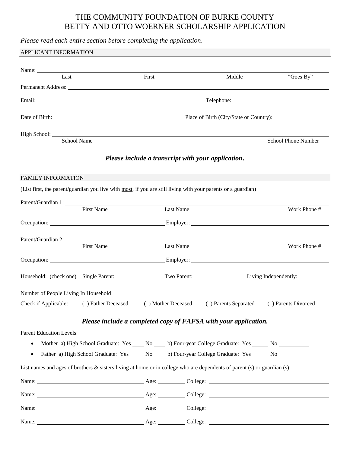# THE COMMUNITY FOUNDATION OF BURKE COUNTY BETTY AND OTTO WOERNER SCHOLARSHIP APPLICATION

|                                       | Please read each entire section before completing the application.                                                       |       |                                                    |        |                                                                                                                                                                                                                                |
|---------------------------------------|--------------------------------------------------------------------------------------------------------------------------|-------|----------------------------------------------------|--------|--------------------------------------------------------------------------------------------------------------------------------------------------------------------------------------------------------------------------------|
| APPLICANT INFORMATION                 |                                                                                                                          |       |                                                    |        |                                                                                                                                                                                                                                |
|                                       |                                                                                                                          |       |                                                    |        |                                                                                                                                                                                                                                |
| Name:<br>Last                         |                                                                                                                          | First |                                                    | Middle | "Goes By"                                                                                                                                                                                                                      |
|                                       |                                                                                                                          |       |                                                    |        |                                                                                                                                                                                                                                |
|                                       |                                                                                                                          |       |                                                    |        | Telephone: New York Changes and Changes and Changes and Changes and Changes and Changes and Changes and Changes and Changes and Changes and Changes and Changes and Changes and Changes and Changes and Changes and Changes an |
|                                       |                                                                                                                          |       |                                                    |        |                                                                                                                                                                                                                                |
|                                       | High School: <u>School Name</u>                                                                                          |       |                                                    |        |                                                                                                                                                                                                                                |
|                                       |                                                                                                                          |       |                                                    |        | School Phone Number                                                                                                                                                                                                            |
|                                       |                                                                                                                          |       | Please include a transcript with your application. |        |                                                                                                                                                                                                                                |
| <b>FAMILY INFORMATION</b>             |                                                                                                                          |       |                                                    |        |                                                                                                                                                                                                                                |
|                                       | (List first, the parent/guardian you live with most, if you are still living with your parents or a guardian)            |       |                                                    |        |                                                                                                                                                                                                                                |
|                                       |                                                                                                                          |       |                                                    |        |                                                                                                                                                                                                                                |
|                                       | Parent/Guardian 1: First Name                                                                                            |       | Last Name                                          |        | Work Phone #                                                                                                                                                                                                                   |
|                                       |                                                                                                                          |       |                                                    |        |                                                                                                                                                                                                                                |
|                                       |                                                                                                                          |       |                                                    |        |                                                                                                                                                                                                                                |
|                                       | Parent/Guardian 2:<br><b>First Name</b>                                                                                  |       | Last Name                                          |        | Work Phone #                                                                                                                                                                                                                   |
|                                       |                                                                                                                          |       |                                                    |        |                                                                                                                                                                                                                                |
|                                       |                                                                                                                          |       |                                                    |        |                                                                                                                                                                                                                                |
|                                       | Household: (check one) Single Parent: __________                                                                         |       | Two Parent:                                        |        |                                                                                                                                                                                                                                |
| Number of People Living In Household: |                                                                                                                          |       |                                                    |        |                                                                                                                                                                                                                                |
| Check if Applicable:                  | () Father Deceased () Mother Deceased () Parents Separated                                                               |       |                                                    |        | () Parents Divorced                                                                                                                                                                                                            |
|                                       | Please include a completed copy of FAFSA with your application.                                                          |       |                                                    |        |                                                                                                                                                                                                                                |
| <b>Parent Education Levels:</b>       |                                                                                                                          |       |                                                    |        |                                                                                                                                                                                                                                |
|                                       | Mother a) High School Graduate: Yes _____ No _____ b) Four-year College Graduate: Yes ______ No __________               |       |                                                    |        |                                                                                                                                                                                                                                |
|                                       | Father a) High School Graduate: Yes _____ No ____ b) Four-year College Graduate: Yes _____ No _______                    |       |                                                    |        |                                                                                                                                                                                                                                |
|                                       | List names and ages of brothers & sisters living at home or in college who are dependents of parent (s) or guardian (s): |       |                                                    |        |                                                                                                                                                                                                                                |
|                                       |                                                                                                                          |       |                                                    |        |                                                                                                                                                                                                                                |
|                                       |                                                                                                                          |       |                                                    |        |                                                                                                                                                                                                                                |
|                                       |                                                                                                                          |       |                                                    |        |                                                                                                                                                                                                                                |
|                                       |                                                                                                                          |       |                                                    |        |                                                                                                                                                                                                                                |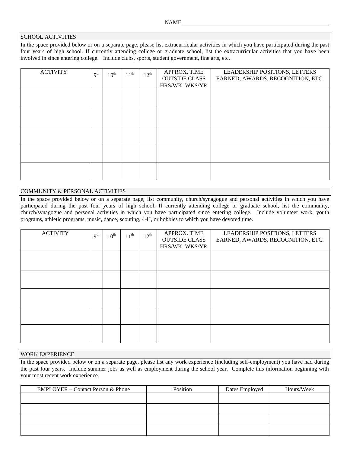### SCHOOL ACTIVITIES

In the space provided below or on a separate page, please list extracurricular activities in which you have participated during the past four years of high school. If currently attending college or graduate school, list the extracurricular activities that you have been involved in since entering college. Include clubs, sports, student government, fine arts, etc.

| <b>ACTIVITY</b> | 9 <sup>th</sup> | $10^{\text{th}}$ | $11^{\text{th}}$ | $12^{\text{th}}$ | APPROX. TIME<br><b>OUTSIDE CLASS</b><br>HRS/WK WKS/YR | LEADERSHIP POSITIONS, LETTERS<br>EARNED, AWARDS, RECOGNITION, ETC. |
|-----------------|-----------------|------------------|------------------|------------------|-------------------------------------------------------|--------------------------------------------------------------------|
|                 |                 |                  |                  |                  |                                                       |                                                                    |
|                 |                 |                  |                  |                  |                                                       |                                                                    |
|                 |                 |                  |                  |                  |                                                       |                                                                    |
|                 |                 |                  |                  |                  |                                                       |                                                                    |
|                 |                 |                  |                  |                  |                                                       |                                                                    |

## COMMUNITY & PERSONAL ACTIVITIES

In the space provided below or on a separate page, list community, church/synagogue and personal activities in which you have participated during the past four years of high school. If currently attending college or graduate school, list the community, church/synagogue and personal activities in which you have participated since entering college. Include volunteer work, youth programs, athletic programs, music, dance, scouting, 4-H, or hobbies to which you have devoted time.

| <b>ACTIVITY</b> | 9 <sup>th</sup> | $10^{\text{th}}$ | $11^{\text{th}}$ | $12^{\text{th}}$ | APPROX. TIME<br><b>OUTSIDE CLASS</b><br>HRS/WK WKS/YR | LEADERSHIP POSITIONS, LETTERS<br>EARNED, AWARDS, RECOGNITION, ETC. |
|-----------------|-----------------|------------------|------------------|------------------|-------------------------------------------------------|--------------------------------------------------------------------|
|                 |                 |                  |                  |                  |                                                       |                                                                    |
|                 |                 |                  |                  |                  |                                                       |                                                                    |
|                 |                 |                  |                  |                  |                                                       |                                                                    |
|                 |                 |                  |                  |                  |                                                       |                                                                    |
|                 |                 |                  |                  |                  |                                                       |                                                                    |

### WORK EXPERIENCE

In the space provided below or on a separate page, please list any work experience (including self-employment) you have had during the past four years. Include summer jobs as well as employment during the school year. Complete this information beginning with your most recent work experience.

| <b>EMPLOYER</b> – Contact Person & Phone | Position | Dates Employed | Hours/Week |
|------------------------------------------|----------|----------------|------------|
|                                          |          |                |            |
|                                          |          |                |            |
|                                          |          |                |            |
|                                          |          |                |            |
|                                          |          |                |            |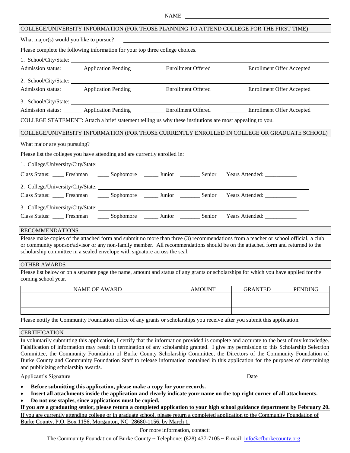#### NAME

#### COLLEGE/UNIVERSITY INFORMATION (FOR THOSE PLANNING TO ATTEND COLLEGE FOR THE FIRST TIME)

What major(s) would you like to pursue?

Please complete the following information for your top three college choices.

1. School/City/State:

| Admission status:     | <b>Application Pending</b> | Enrollment Offered | Enrollment Offer Accepted |
|-----------------------|----------------------------|--------------------|---------------------------|
| 2. School/City/State: |                            |                    |                           |

Admission status: Application Pending Enrollment Offered Enrollment Offer Accepted

3. School/City/State:

Admission status: Application Pending Enrollment Offered Enrollment Offer Accepted

COLLEGE STATEMENT: Attach a brief statement telling us why these institutions are most appealing to you.

### COLLEGE/UNIVERSITY INFORMATION (FOR THOSE CURRENTLY ENROLLED IN COLLEGE OR GRADUATE SCHOOL)

Please list the colleges you have attending and are currently enrolled in:

1. College/University/City/State:

| Class Status: _______ Freshman ________ Sophomore |                                                                               | $\frac{1}{2}$ Junior | <b>Senior</b> | Years Attended: _____________ |
|---------------------------------------------------|-------------------------------------------------------------------------------|----------------------|---------------|-------------------------------|
|                                                   | 2. College/University/City/State:                                             |                      |               |                               |
|                                                   | Class Status: _____ Freshman ______ Sophomore _______ Junior _________ Senior |                      |               | Years Attended:               |
|                                                   |                                                                               |                      |               |                               |
|                                                   | Class Status: Freshman _______ Sophomore ________ Junior ________             |                      | Senior        | Years Attended:               |

#### RECOMMENDATIONS

Please make copies of the attached form and submit no more than three (3) recommendations from a teacher or school official, a club or community sponsor/advisor or any non-family member. All recommendations should be on the attached form and returned to the scholarship committee in a sealed envelope with signature across the seal.

#### OTHER AWARDS

Please list below or on a separate page the name, amount and status of any grants or scholarships for which you have applied for the coming school year.

| NAME OF AWARD | <b>AMOUNT</b> | <b>GRANTED</b> | <b>PENDING</b> |
|---------------|---------------|----------------|----------------|
|               |               |                |                |
|               |               |                |                |
|               |               |                |                |

Please notify the Community Foundation office of any grants or scholarships you receive after you submit this application.

**CERTIFICATION** 

In voluntarily submitting this application, I certify that the information provided is complete and accurate to the best of my knowledge. Falsification of information may result in termination of any scholarship granted. I give my permission to this Scholarship Selection Committee, the Community Foundation of Burke County Scholarship Committee, the Directors of the Community Foundation of Burke County and Community Foundation Staff to release information contained in this application for the purposes of determining and publicizing scholarship awards.

Applicant's Signature Date Date of the Signature Date of the Date of the Date of the Date of the Date of the Date of the Date of the Date of the Date of the Date of the Date of the Date of the Date of the Date of the Date

- **Before submitting this application, please make a copy for your records.**
- **Insert all attachments inside the application and clearly indicate your name on the top right corner of all attachments.**
- **Do not use staples, since applications must be copied.**

**If you are a graduating senior, please return a completed application to your high school guidance department by February 20.**

If you are currently attending college or in graduate school, please return a completed application to the Community Foundation of Burke County, P.O. Box 1156, Morganton, NC 28680-1156, by March 1.

For more information, contact:

The Community Foundation of Burke County **~** Telephone: (828) 437-7105 **~** E-mail: info@cfburkecounty.org